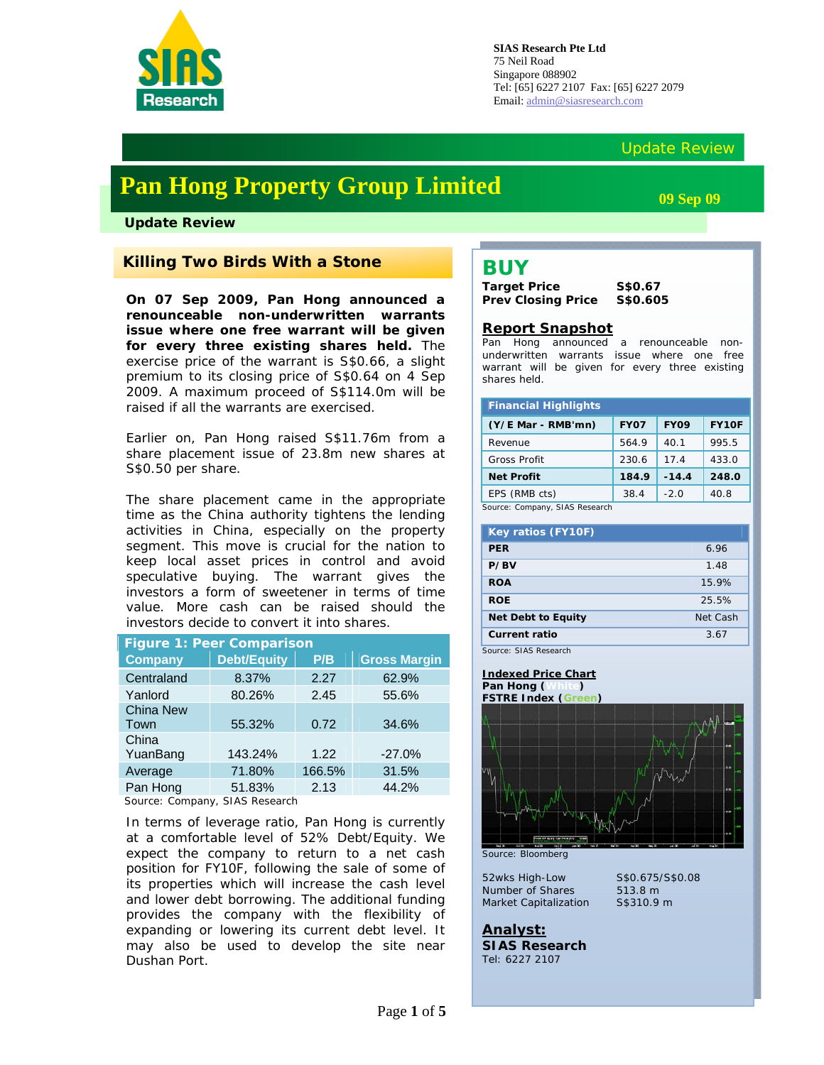

## Update Review

# **Pan Hong Property Group Limited**

**Update Review** 

## *Killing Two Birds With a Stone*

**On 07 Sep 2009, Pan Hong announced a renounceable non-underwritten warrants issue where one free warrant will be given for every three existing shares held.** The exercise price of the warrant is S\$0.66, a slight premium to its closing price of S\$0.64 on 4 Sep 2009. A maximum proceed of S\$114.0m will be raised if all the warrants are exercised.

Earlier on, Pan Hong raised S\$11.76m from a share placement issue of 23.8m new shares at S\$0.50 per share.

The share placement came in the appropriate time as the China authority tightens the lending activities in China, especially on the property segment. This move is crucial for the nation to keep local asset prices in control and avoid speculative buying. The warrant gives the investors a form of sweetener in terms of time value. More cash can be raised should the investors decide to convert it into shares.

| <b>Figure 1: Peer Comparison</b>                                                                         |                    |        |                     |  |  |  |  |
|----------------------------------------------------------------------------------------------------------|--------------------|--------|---------------------|--|--|--|--|
| <b>Company</b>                                                                                           | <b>Debt/Equity</b> | P/B    | <b>Gross Margin</b> |  |  |  |  |
| Centraland                                                                                               | 8.37%              | 2.27   | 62.9%               |  |  |  |  |
| Yanlord                                                                                                  | 80.26%             | 2.45   | 55.6%               |  |  |  |  |
| <b>China New</b>                                                                                         |                    |        |                     |  |  |  |  |
| Town                                                                                                     | 55.32%             | 0.72   | 34.6%               |  |  |  |  |
| China                                                                                                    |                    |        |                     |  |  |  |  |
| YuanBang                                                                                                 | 143.24%            | 1.22   | $-27.0%$            |  |  |  |  |
| Average                                                                                                  | 71.80%             | 166.5% | 31.5%               |  |  |  |  |
| Pan Hong                                                                                                 | 51.83%             | 2.13   | 44.2%               |  |  |  |  |
| $C_{\alpha\cdots\alpha\alpha\alpha}$ . $C_{\alpha\cdots\alpha\alpha\cdots\alpha\cdots}$<br>CIAC Desserat |                    |        |                     |  |  |  |  |

Source: Company, SIAS Research

In terms of leverage ratio, Pan Hong is currently at a comfortable level of 52% Debt/Equity. We expect the company to return to a net cash position for FY10F, following the sale of some of its properties which will increase the cash level and lower debt borrowing. The additional funding provides the company with the flexibility of expanding or lowering its current debt level. It may also be used to develop the site near Dushan Port.

**09 Sep 09** 

## **BUY**

**Target Price S\$0.67 Prev Closing Price S\$0.605** 

### **Report Snapshot**

Pan Hong announced a renounceable nonunderwritten warrants issue where one free warrant will be given for every three existing shares held.

| <b>Financial Highlights</b>    |             |             |       |  |  |  |
|--------------------------------|-------------|-------------|-------|--|--|--|
| (Y/E Mar - RMB'mn)             | <b>FY07</b> | <b>FY09</b> | FY10F |  |  |  |
| Revenue                        | 564.9       | 40.1        | 995.5 |  |  |  |
| <b>Gross Profit</b>            | 230.6       | 17.4        | 433.0 |  |  |  |
| <b>Net Profit</b>              | 184.9       | $-14.4$     | 248.0 |  |  |  |
| EPS (RMB cts)                  | 38.4        | $-2.0$      | 40.8  |  |  |  |
| Source: Company, SIAS Research |             |             |       |  |  |  |

| <b>Key ratios (FY10F)</b> |          |
|---------------------------|----------|
| <b>PFR</b>                | 6.96     |
| P/BV                      | 1.48     |
| <b>ROA</b>                | 15.9%    |
| <b>ROE</b>                | 25.5%    |
| <b>Net Debt to Equity</b> | Net Cash |
| <b>Current ratio</b>      | 3.67     |

Source: SIAS Research

#### **Indexed Price Chart Pan Hong (White) FSTRE Index (Green)**



*Source: Bloomberg* 

*52wks High-Low S\$0.675/S\$0.08 Number of Shares 513.8 m Market Capitalization S\$310.9 m*

**Analyst: SIAS Research** Tel: 6227 2107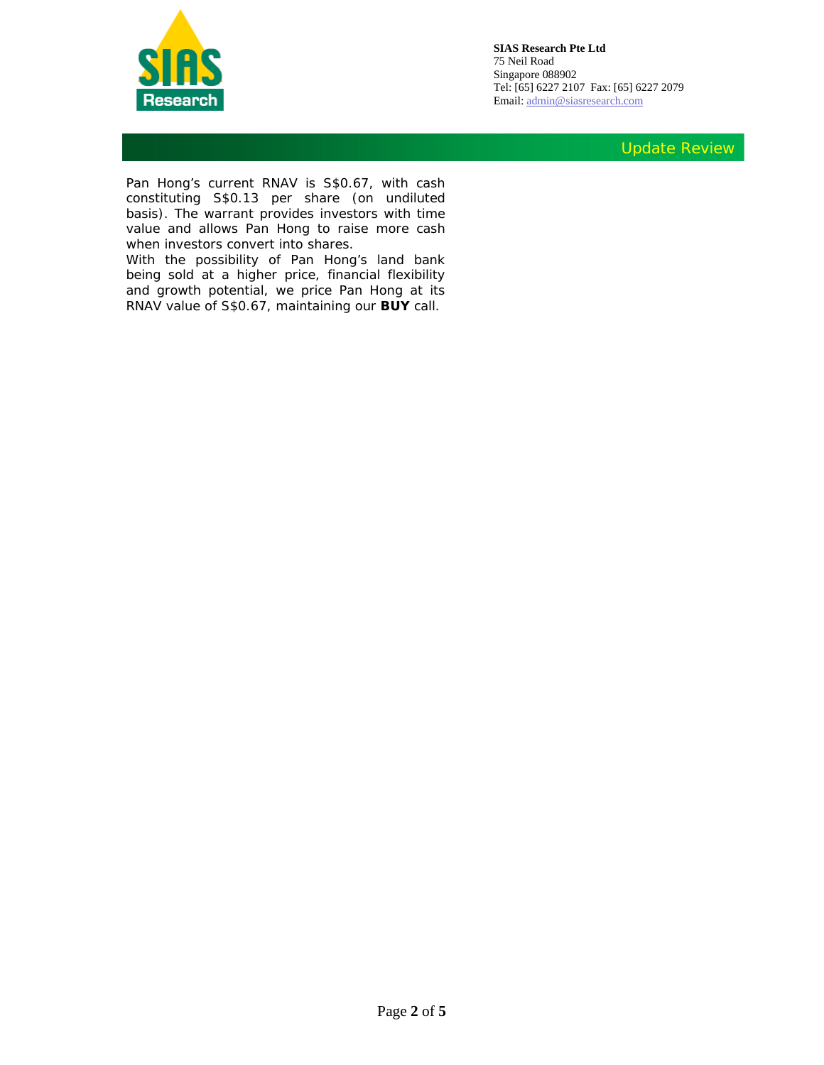

Update Review

Pan Hong's current RNAV is S\$0.67, with cash constituting S\$0.13 per share (on undiluted basis). The warrant provides investors with time value and allows Pan Hong to raise more cash when investors convert into shares.

With the possibility of Pan Hong's land bank being sold at a higher price, financial flexibility and growth potential, we price Pan Hong at its RNAV value of S\$0.67, maintaining our **BUY** call.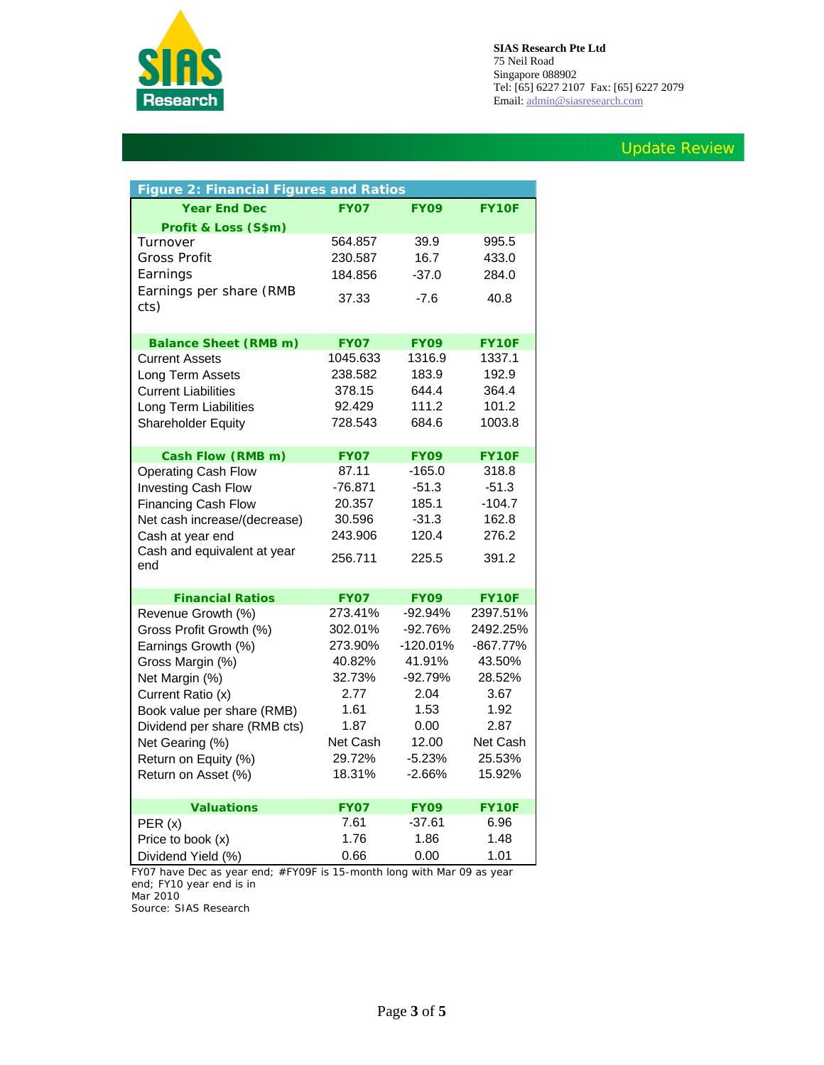

## Update Review

| <b>Figure 2: Financial Figures and Ratios</b> |             |             |              |  |  |  |
|-----------------------------------------------|-------------|-------------|--------------|--|--|--|
| <b>Year End Dec</b>                           | <b>FY07</b> | <b>FY09</b> | FY10F        |  |  |  |
| Profit & Loss (S\$m)                          |             |             |              |  |  |  |
| Turnover                                      | 564.857     | 39.9        | 995.5        |  |  |  |
| Gross Profit                                  | 230.587     | 16.7        | 433.0        |  |  |  |
| Earnings                                      | 184.856     | $-37.0$     | 284.0        |  |  |  |
| Earnings per share (RMB                       |             |             |              |  |  |  |
| cts)                                          | 37.33       | $-7.6$      | 40.8         |  |  |  |
|                                               |             |             |              |  |  |  |
| <b>Balance Sheet (RMB m)</b>                  | <b>FY07</b> | <b>FY09</b> | <b>FY10F</b> |  |  |  |
| Current Assets                                | 1045.633    | 1316.9      | 1337.1       |  |  |  |
| Long Term Assets                              | 238.582     | 183.9       | 192.9        |  |  |  |
| <b>Current Liabilities</b>                    | 378.15      | 644.4       | 364.4        |  |  |  |
| Long Term Liabilities                         | 92.429      | 111.2       | 101.2        |  |  |  |
| Shareholder Equity                            | 728.543     | 684.6       | 1003.8       |  |  |  |
|                                               |             |             |              |  |  |  |
| Cash Flow (RMB m)                             | <b>FY07</b> | <b>FY09</b> | <b>FY10F</b> |  |  |  |
| <b>Operating Cash Flow</b>                    | 87.11       | $-165.0$    | 318.8        |  |  |  |
| <b>Investing Cash Flow</b>                    | $-76.871$   | $-51.3$     | $-51.3$      |  |  |  |
| Financing Cash Flow                           | 20.357      | 185.1       | $-104.7$     |  |  |  |
| Net cash increase/(decrease)                  | 30.596      | $-31.3$     | 162.8        |  |  |  |
| Cash at year end                              | 243.906     | 120.4       | 276.2        |  |  |  |
| Cash and equivalent at year                   | 256.711     | 225.5       | 391.2        |  |  |  |
| end                                           |             |             |              |  |  |  |
| <b>Financial Ratios</b>                       | <b>FY07</b> | <b>FY09</b> | <b>FY10F</b> |  |  |  |
| Revenue Growth (%)                            | 273.41%     | $-92.94%$   | 2397.51%     |  |  |  |
| Gross Profit Growth (%)                       | 302.01%     | $-92.76%$   | 2492.25%     |  |  |  |
| Earnings Growth (%)                           | 273.90%     | $-120.01%$  | $-867.77%$   |  |  |  |
| Gross Margin (%)                              | 40.82%      | 41.91%      | 43.50%       |  |  |  |
| Net Margin (%)                                | 32.73%      | $-92.79%$   | 28.52%       |  |  |  |
| Current Ratio (x)                             | 2.77        | 2.04        | 3.67         |  |  |  |
| Book value per share (RMB)                    | 1.61        | 1.53        | 1.92         |  |  |  |
| Dividend per share (RMB cts)                  | 1.87        | 0.00        | 2.87         |  |  |  |
| Net Gearing (%)                               | Net Cash    | 12.00       | Net Cash     |  |  |  |
| Return on Equity (%)                          | 29.72%      | $-5.23%$    | 25.53%       |  |  |  |
| Return on Asset (%)                           | 18.31%      | $-2.66%$    | 15.92%       |  |  |  |
|                                               |             |             |              |  |  |  |
| <b>Valuations</b>                             | <b>FY07</b> | <b>FY09</b> | <b>FY10F</b> |  |  |  |
| PER(x)                                        | 7.61        | $-37.61$    | 6.96         |  |  |  |
| Price to book (x)                             | 1.76        | 1.86        | 1.48         |  |  |  |
| Dividend Yield (%)                            | 0.66        | 0.00        | 1.01         |  |  |  |

*FY07 have Dec as year end; #FY09F is 15-month long with Mar 09 as year end; FY10 year end is in Mar 2010* 

Source: SIAS Research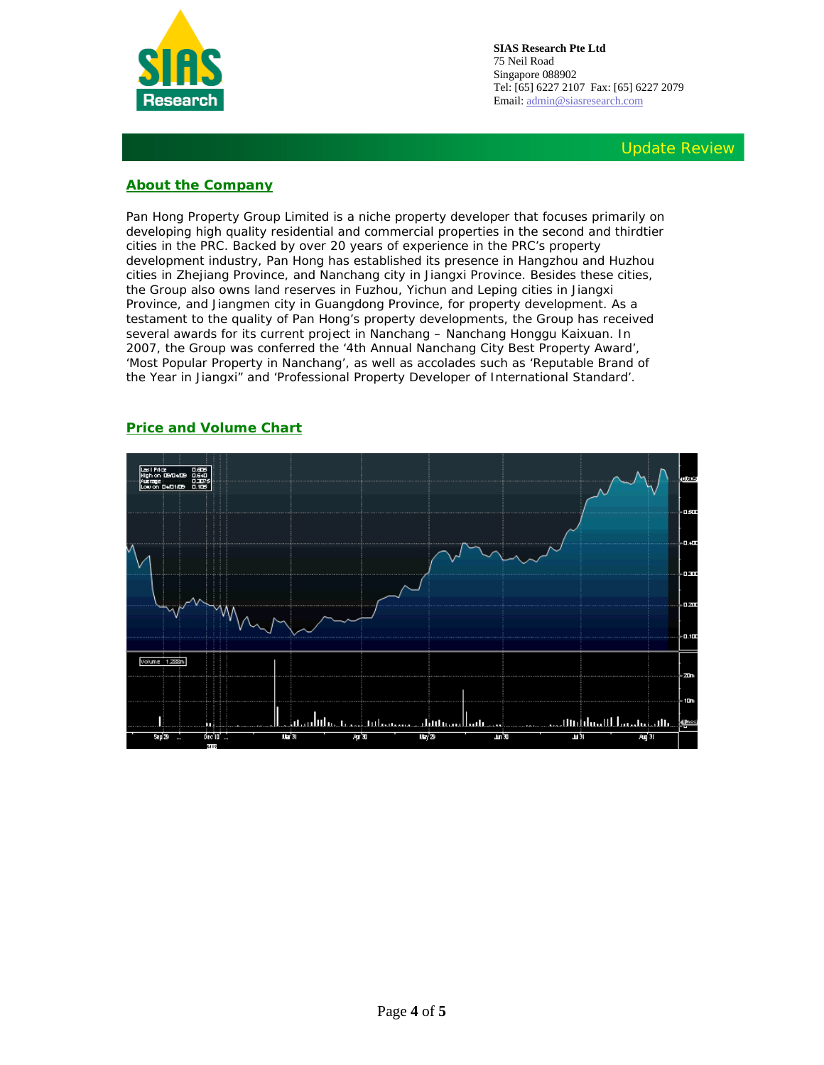

## **About the Company**

Pan Hong Property Group Limited is a niche property developer that focuses primarily on developing high quality residential and commercial properties in the second and thirdtier cities in the PRC. Backed by over 20 years of experience in the PRC's property development industry, Pan Hong has established its presence in Hangzhou and Huzhou cities in Zhejiang Province, and Nanchang city in Jiangxi Province. Besides these cities, the Group also owns land reserves in Fuzhou, Yichun and Leping cities in Jiangxi Province, and Jiangmen city in Guangdong Province, for property development. As a testament to the quality of Pan Hong's property developments, the Group has received several awards for its current project in Nanchang – Nanchang Honggu Kaixuan. In 2007, the Group was conferred the '4th Annual Nanchang City Best Property Award', 'Most Popular Property in Nanchang', as well as accolades such as 'Reputable Brand of the Year in Jiangxi" and 'Professional Property Developer of International Standard'.



### **Price and Volume Chart**